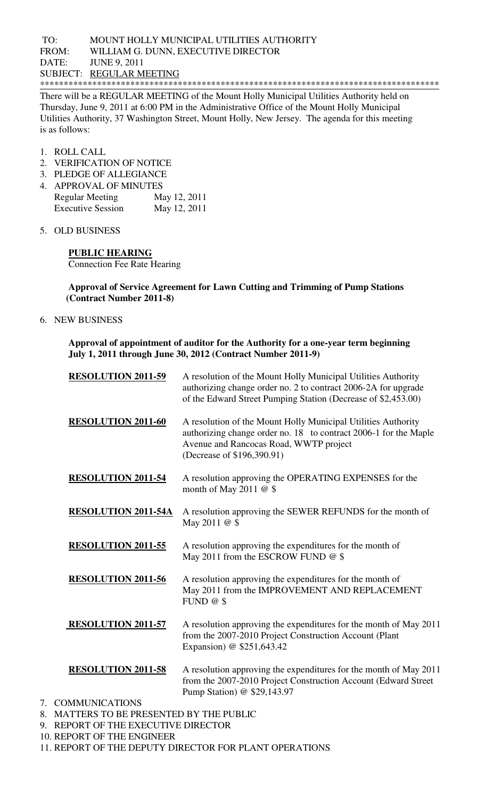## TO: MOUNT HOLLY MUNICIPAL UTILITIES AUTHORITY FROM: WILLIAM G. DUNN, EXECUTIVE DIRECTOR DATE: JUNE 9, 2011 SUBJECT: REGULAR MEETING \*\*\*\*\*\*\*\*\*\*\*\*\*\*\*\*\*\*\*\*\*\*\*\*\*\*\*\*\*\*\*\*\*\*\*\*\*\*\*\*\*\*\*\*\*\*\*\*\*\*\*\*\*\*\*\*\*\*\*\*\*\*\*\*\*\*\*\*\*\*\*\*\*\*\*\*\*\*\*\*\*\*\*\*

There will be a REGULAR MEETING of the Mount Holly Municipal Utilities Authority held on Thursday, June 9, 2011 at 6:00 PM in the Administrative Office of the Mount Holly Municipal Utilities Authority, 37 Washington Street, Mount Holly, New Jersey. The agenda for this meeting is as follows:

- 1. ROLL CALL
- 2. VERIFICATION OF NOTICE
- 3. PLEDGE OF ALLEGIANCE
- 4. APPROVAL OF MINUTES Regular Meeting May 12, 2011 Executive Session May 12, 2011
- 5. OLD BUSINESS

**PUBLIC HEARING**  Connection Fee Rate Hearing

**Approval of Service Agreement for Lawn Cutting and Trimming of Pump Stations (Contract Number 2011-8)** 

6. NEW BUSINESS

**Approval of appointment of auditor for the Authority for a one-year term beginning July 1, 2011 through June 30, 2012 (Contract Number 2011-9)** 

| <b>RESOLUTION 2011-59</b>  | A resolution of the Mount Holly Municipal Utilities Authority<br>authorizing change order no. 2 to contract 2006-2A for upgrade<br>of the Edward Street Pumping Station (Decrease of \$2,453.00)          |
|----------------------------|-----------------------------------------------------------------------------------------------------------------------------------------------------------------------------------------------------------|
| <b>RESOLUTION 2011-60</b>  | A resolution of the Mount Holly Municipal Utilities Authority<br>authorizing change order no. 18 to contract 2006-1 for the Maple<br>Avenue and Rancocas Road, WWTP project<br>(Decrease of \$196,390.91) |
| <b>RESOLUTION 2011-54</b>  | A resolution approving the OPERATING EXPENSES for the<br>month of May 2011 $@$ \$                                                                                                                         |
| <b>RESOLUTION 2011-54A</b> | A resolution approving the SEWER REFUNDS for the month of<br>May 2011 @ \$                                                                                                                                |
| <b>RESOLUTION 2011-55</b>  | A resolution approving the expenditures for the month of<br>May 2011 from the ESCROW FUND @ \$                                                                                                            |
| <b>RESOLUTION 2011-56</b>  | A resolution approving the expenditures for the month of<br>May 2011 from the IMPROVEMENT AND REPLACEMENT<br>FUND $@$ \$                                                                                  |
| <b>RESOLUTION 2011-57</b>  | A resolution approving the expenditures for the month of May 2011<br>from the 2007-2010 Project Construction Account (Plant<br>Expansion) @ \$251,643.42                                                  |
| <b>RESOLUTION 2011-58</b>  | A resolution approving the expenditures for the month of May 2011<br>from the 2007-2010 Project Construction Account (Edward Street)<br>Pump Station) @ \$29,143.97                                       |

- 7. COMMUNICATIONS
- 8. MATTERS TO BE PRESENTED BY THE PUBLIC
- 9. REPORT OF THE EXECUTIVE DIRECTOR
- 10. REPORT OF THE ENGINEER
- 11. REPORT OF THE DEPUTY DIRECTOR FOR PLANT OPERATIONS